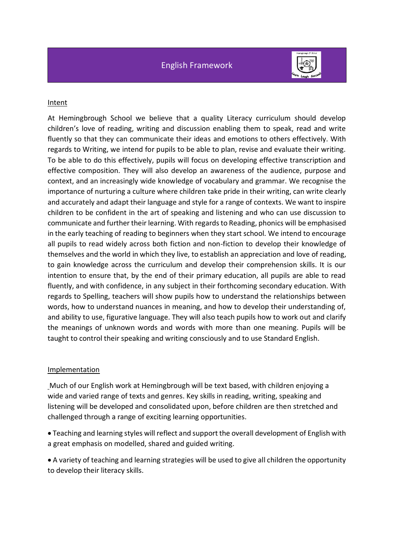English Framework



### Intent

At Hemingbrough School we believe that a quality Literacy curriculum should develop children's love of reading, writing and discussion enabling them to speak, read and write fluently so that they can communicate their ideas and emotions to others effectively. With regards to Writing, we intend for pupils to be able to plan, revise and evaluate their writing. To be able to do this effectively, pupils will focus on developing effective transcription and effective composition. They will also develop an awareness of the audience, purpose and context, and an increasingly wide knowledge of vocabulary and grammar. We recognise the importance of nurturing a culture where children take pride in their writing, can write clearly and accurately and adapt their language and style for a range of contexts. We want to inspire children to be confident in the art of speaking and listening and who can use discussion to communicate and further their learning. With regards to Reading, phonics will be emphasised in the early teaching of reading to beginners when they start school. We intend to encourage all pupils to read widely across both fiction and non-fiction to develop their knowledge of themselves and the world in which they live, to establish an appreciation and love of reading, to gain knowledge across the curriculum and develop their comprehension skills. It is our intention to ensure that, by the end of their primary education, all pupils are able to read fluently, and with confidence, in any subject in their forthcoming secondary education. With regards to Spelling, teachers will show pupils how to understand the relationships between words, how to understand nuances in meaning, and how to develop their understanding of, and ability to use, figurative language. They will also teach pupils how to work out and clarify the meanings of unknown words and words with more than one meaning. Pupils will be taught to control their speaking and writing consciously and to use Standard English.

#### Implementation

Much of our English work at Hemingbrough will be text based, with children enjoying a wide and varied range of texts and genres. Key skills in reading, writing, speaking and listening will be developed and consolidated upon, before children are then stretched and challenged through a range of exciting learning opportunities.

• Teaching and learning styles will reflect and support the overall development of English with a great emphasis on modelled, shared and guided writing.

• A variety of teaching and learning strategies will be used to give all children the opportunity to develop their literacy skills.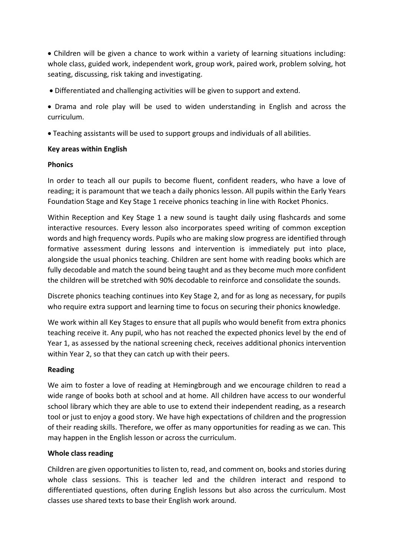• Children will be given a chance to work within a variety of learning situations including: whole class, guided work, independent work, group work, paired work, problem solving, hot seating, discussing, risk taking and investigating.

• Differentiated and challenging activities will be given to support and extend.

• Drama and role play will be used to widen understanding in English and across the curriculum.

• Teaching assistants will be used to support groups and individuals of all abilities.

# **Key areas within English**

## **Phonics**

In order to teach all our pupils to become fluent, confident readers, who have a love of reading; it is paramount that we teach a daily phonics lesson. All pupils within the Early Years Foundation Stage and Key Stage 1 receive phonics teaching in line with Rocket Phonics.

Within Reception and Key Stage 1 a new sound is taught daily using flashcards and some interactive resources. Every lesson also incorporates speed writing of common exception words and high frequency words. Pupils who are making slow progress are identified through formative assessment during lessons and intervention is immediately put into place, alongside the usual phonics teaching. Children are sent home with reading books which are fully decodable and match the sound being taught and as they become much more confident the children will be stretched with 90% decodable to reinforce and consolidate the sounds.

Discrete phonics teaching continues into Key Stage 2, and for as long as necessary, for pupils who require extra support and learning time to focus on securing their phonics knowledge.

We work within all Key Stages to ensure that all pupils who would benefit from extra phonics teaching receive it. Any pupil, who has not reached the expected phonics level by the end of Year 1, as assessed by the national screening check, receives additional phonics intervention within Year 2, so that they can catch up with their peers.

# **Reading**

We aim to foster a love of reading at Hemingbrough and we encourage children to read a wide range of books both at school and at home. All children have access to our wonderful school library which they are able to use to extend their independent reading, as a research tool or just to enjoy a good story. We have high expectations of children and the progression of their reading skills. Therefore, we offer as many opportunities for reading as we can. This may happen in the English lesson or across the curriculum.

# **Whole class reading**

Children are given opportunities to listen to, read, and comment on, books and stories during whole class sessions. This is teacher led and the children interact and respond to differentiated questions, often during English lessons but also across the curriculum. Most classes use shared texts to base their English work around.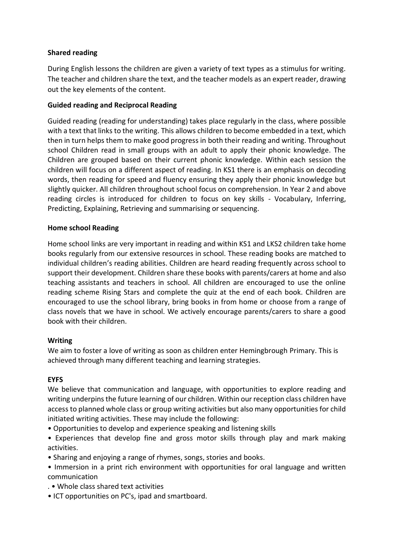# **Shared reading**

During English lessons the children are given a variety of text types as a stimulus for writing. The teacher and children share the text, and the teacher models as an expert reader, drawing out the key elements of the content.

## **Guided reading and Reciprocal Reading**

Guided reading (reading for understanding) takes place regularly in the class, where possible with a text that links to the writing. This allows children to become embedded in a text, which then in turn helps them to make good progress in both their reading and writing. Throughout school Children read in small groups with an adult to apply their phonic knowledge. The Children are grouped based on their current phonic knowledge. Within each session the children will focus on a different aspect of reading. In KS1 there is an emphasis on decoding words, then reading for speed and fluency ensuring they apply their phonic knowledge but slightly quicker. All children throughout school focus on comprehension. In Year 2 and above reading circles is introduced for children to focus on key skills - Vocabulary, Inferring, Predicting, Explaining, Retrieving and summarising or sequencing.

## **Home school Reading**

Home school links are very important in reading and within KS1 and LKS2 children take home books regularly from our extensive resources in school. These reading books are matched to individual children's reading abilities. Children are heard reading frequently across school to support their development. Children share these books with parents/carers at home and also teaching assistants and teachers in school. All children are encouraged to use the online reading scheme Rising Stars and complete the quiz at the end of each book. Children are encouraged to use the school library, bring books in from home or choose from a range of class novels that we have in school. We actively encourage parents/carers to share a good book with their children.

### **Writing**

We aim to foster a love of writing as soon as children enter Hemingbrough Primary. This is achieved through many different teaching and learning strategies.

### **EYFS**

We believe that communication and language, with opportunities to explore reading and writing underpins the future learning of our children. Within our reception class children have access to planned whole class or group writing activities but also many opportunities for child initiated writing activities. These may include the following:

- Opportunities to develop and experience speaking and listening skills
- Experiences that develop fine and gross motor skills through play and mark making activities.
- Sharing and enjoying a range of rhymes, songs, stories and books.
- Immersion in a print rich environment with opportunities for oral language and written communication
- . Whole class shared text activities
- ICT opportunities on PC's, ipad and smartboard.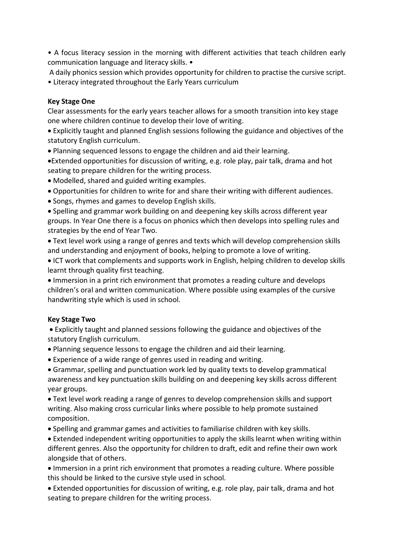• A focus literacy session in the morning with different activities that teach children early communication language and literacy skills. •

A daily phonics session which provides opportunity for children to practise the cursive script. • Literacy integrated throughout the Early Years curriculum

### **Key Stage One**

Clear assessments for the early years teacher allows for a smooth transition into key stage one where children continue to develop their love of writing.

• Explicitly taught and planned English sessions following the guidance and objectives of the statutory English curriculum.

• Planning sequenced lessons to engage the children and aid their learning.

•Extended opportunities for discussion of writing, e.g. role play, pair talk, drama and hot seating to prepare children for the writing process.

• Modelled, shared and guided writing examples.

- Opportunities for children to write for and share their writing with different audiences.
- Songs, rhymes and games to develop English skills.

• Spelling and grammar work building on and deepening key skills across different year groups. In Year One there is a focus on phonics which then develops into spelling rules and strategies by the end of Year Two.

• Text level work using a range of genres and texts which will develop comprehension skills and understanding and enjoyment of books, helping to promote a love of writing.

• ICT work that complements and supports work in English, helping children to develop skills learnt through quality first teaching.

• Immersion in a print rich environment that promotes a reading culture and develops children's oral and written communication. Where possible using examples of the cursive handwriting style which is used in school.

#### **Key Stage Two**

• Explicitly taught and planned sessions following the guidance and objectives of the statutory English curriculum.

• Planning sequence lessons to engage the children and aid their learning.

• Experience of a wide range of genres used in reading and writing.

• Grammar, spelling and punctuation work led by quality texts to develop grammatical awareness and key punctuation skills building on and deepening key skills across different year groups.

• Text level work reading a range of genres to develop comprehension skills and support writing. Also making cross curricular links where possible to help promote sustained composition.

• Spelling and grammar games and activities to familiarise children with key skills.

• Extended independent writing opportunities to apply the skills learnt when writing within different genres. Also the opportunity for children to draft, edit and refine their own work alongside that of others.

• Immersion in a print rich environment that promotes a reading culture. Where possible this should be linked to the cursive style used in school.

• Extended opportunities for discussion of writing, e.g. role play, pair talk, drama and hot seating to prepare children for the writing process.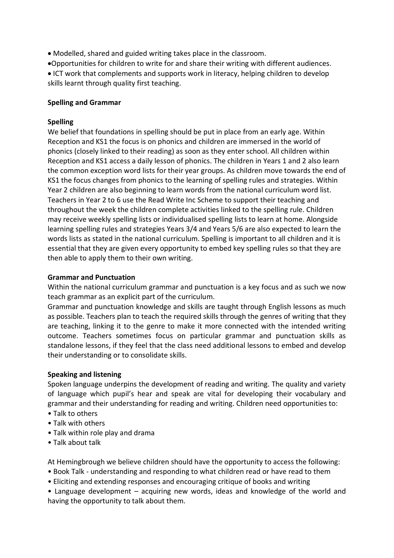• Modelled, shared and guided writing takes place in the classroom.

•Opportunities for children to write for and share their writing with different audiences.

• ICT work that complements and supports work in literacy, helping children to develop skills learnt through quality first teaching.

## **Spelling and Grammar**

## **Spelling**

We belief that foundations in spelling should be put in place from an early age. Within Reception and KS1 the focus is on phonics and children are immersed in the world of phonics (closely linked to their reading) as soon as they enter school. All children within Reception and KS1 access a daily lesson of phonics. The children in Years 1 and 2 also learn the common exception word lists for their year groups. As children move towards the end of KS1 the focus changes from phonics to the learning of spelling rules and strategies. Within Year 2 children are also beginning to learn words from the national curriculum word list. Teachers in Year 2 to 6 use the Read Write Inc Scheme to support their teaching and throughout the week the children complete activities linked to the spelling rule. Children may receive weekly spelling lists or individualised spelling lists to learn at home. Alongside learning spelling rules and strategies Years 3/4 and Years 5/6 are also expected to learn the words lists as stated in the national curriculum. Spelling is important to all children and it is essential that they are given every opportunity to embed key spelling rules so that they are then able to apply them to their own writing.

### **Grammar and Punctuation**

Within the national curriculum grammar and punctuation is a key focus and as such we now teach grammar as an explicit part of the curriculum.

Grammar and punctuation knowledge and skills are taught through English lessons as much as possible. Teachers plan to teach the required skills through the genres of writing that they are teaching, linking it to the genre to make it more connected with the intended writing outcome. Teachers sometimes focus on particular grammar and punctuation skills as standalone lessons, if they feel that the class need additional lessons to embed and develop their understanding or to consolidate skills.

### **Speaking and listening**

Spoken language underpins the development of reading and writing. The quality and variety of language which pupil's hear and speak are vital for developing their vocabulary and grammar and their understanding for reading and writing. Children need opportunities to:

- Talk to others
- Talk with others
- Talk within role play and drama
- Talk about talk

At Hemingbrough we believe children should have the opportunity to access the following:

- Book Talk understanding and responding to what children read or have read to them
- Eliciting and extending responses and encouraging critique of books and writing

• Language development – acquiring new words, ideas and knowledge of the world and having the opportunity to talk about them.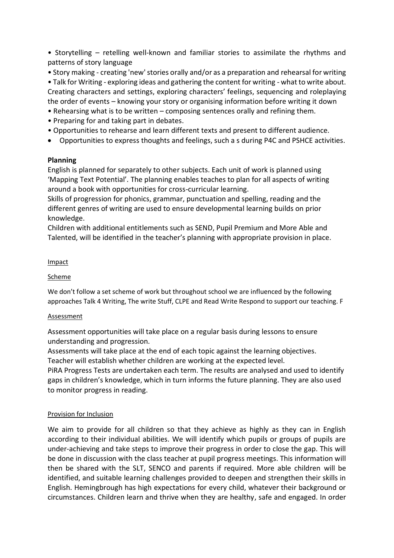• Storytelling – retelling well-known and familiar stories to assimilate the rhythms and patterns of story language

• Story making - creating 'new'stories orally and/or as a preparation and rehearsal for writing

• Talk for Writing - exploring ideas and gathering the content for writing - what to write about. Creating characters and settings, exploring characters' feelings, sequencing and roleplaying the order of events – knowing your story or organising information before writing it down

- Rehearsing what is to be written composing sentences orally and refining them.
- Preparing for and taking part in debates.
- Opportunities to rehearse and learn different texts and present to different audience.
- Opportunities to express thoughts and feelings, such a s during P4C and PSHCE activities.

### **Planning**

English is planned for separately to other subjects. Each unit of work is planned using 'Mapping Text Potential'. The planning enables teaches to plan for all aspects of writing around a book with opportunities for cross-curricular learning.

Skills of progression for phonics, grammar, punctuation and spelling, reading and the different genres of writing are used to ensure developmental learning builds on prior knowledge.

Children with additional entitlements such as SEND, Pupil Premium and More Able and Talented, will be identified in the teacher's planning with appropriate provision in place.

#### Impact

#### Scheme

We don't follow a set scheme of work but throughout school we are influenced by the following approaches Talk 4 Writing, The write Stuff, CLPE and Read Write Respond to support our teaching. F

#### Assessment

Assessment opportunities will take place on a regular basis during lessons to ensure understanding and progression.

Assessments will take place at the end of each topic against the learning objectives. Teacher will establish whether children are working at the expected level.

PiRA Progress Tests are undertaken each term. The results are analysed and used to identify gaps in children's knowledge, which in turn informs the future planning. They are also used to monitor progress in reading.

### Provision for Inclusion

We aim to provide for all children so that they achieve as highly as they can in English according to their individual abilities. We will identify which pupils or groups of pupils are under-achieving and take steps to improve their progress in order to close the gap. This will be done in discussion with the class teacher at pupil progress meetings. This information will then be shared with the SLT, SENCO and parents if required. More able children will be identified, and suitable learning challenges provided to deepen and strengthen their skills in English. Hemingbrough has high expectations for every child, whatever their background or circumstances. Children learn and thrive when they are healthy, safe and engaged. In order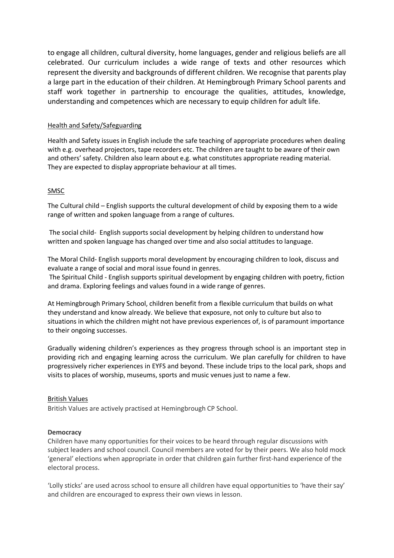to engage all children, cultural diversity, home languages, gender and religious beliefs are all celebrated. Our curriculum includes a wide range of texts and other resources which represent the diversity and backgrounds of different children. We recognise that parents play a large part in the education of their children. At Hemingbrough Primary School parents and staff work together in partnership to encourage the qualities, attitudes, knowledge, understanding and competences which are necessary to equip children for adult life.

#### Health and Safety/Safeguarding

Health and Safety issues in English include the safe teaching of appropriate procedures when dealing with e.g. overhead projectors, tape recorders etc. The children are taught to be aware of their own and others' safety. Children also learn about e.g. what constitutes appropriate reading material. They are expected to display appropriate behaviour at all times.

#### SMSC

The Cultural child – English supports the cultural development of child by exposing them to a wide range of written and spoken language from a range of cultures.

The social child- English supports social [development](http://www.riversideprimary.org.uk/the-social-child-english-supports-social-developme/) by helping children to understand how written and spoken language has changed over time and also social attitudes to [language.](http://www.riversideprimary.org.uk/the-social-child-english-supports-social-developme/)

The Moral Child- English supports moral development by encouraging children to look, discuss and evaluate a range of social and moral issue found in genres.

The Spiritual Child - English supports spiritual [development](http://www.riversideprimary.org.uk/the-spiritual-child-english-supports-spiritual-dev/) by engaging children with poetry, fiction and drama. [Exploring](http://www.riversideprimary.org.uk/the-spiritual-child-english-supports-spiritual-dev/) feelings and values found in a wide range of genres.

At Hemingbrough Primary School, children benefit from a flexible curriculum that builds on what they understand and know already. We believe that exposure, not only to culture but also to situations in which the children might not have previous experiences of, is of paramount importance to their ongoing successes.

Gradually widening children's experiences as they progress through school is an important step in providing rich and engaging learning across the curriculum. We plan carefully for children to have progressively richer experiences in EYFS and beyond. These include trips to the local park, shops and visits to places of worship, museums, sports and music venues just to name a few.

#### British Values

British Values are actively practised at Hemingbrough CP School.

#### **Democracy**

Children have many opportunities for their voices to be heard through regular discussions with subject leaders and school council. Council members are voted for by their peers. We also hold mock 'general' elections when appropriate in order that children gain further first-hand experience of the electoral process.

'Lolly sticks' are used across school to ensure all children have equal opportunities to 'have their say' and children are encouraged to express their own views in lesson.